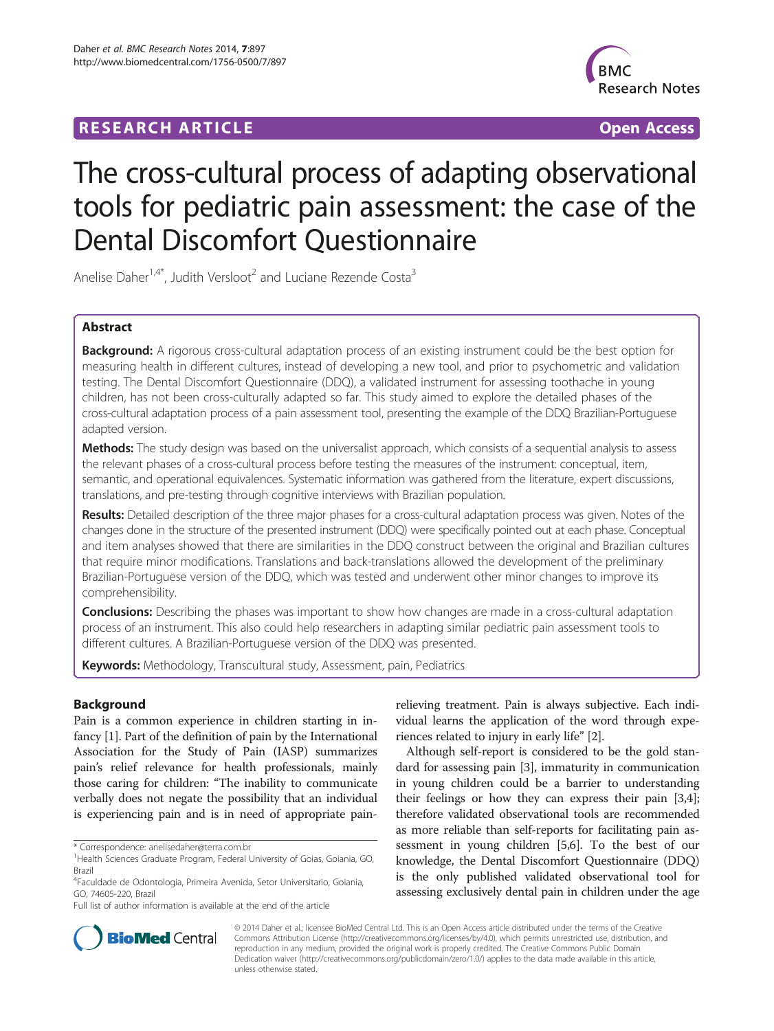# **RESEARCH ARTICLE Example 2018 12:00 Department of the COVID-TIGGS 2019 12:00 Open Access**



# The cross-cultural process of adapting observational tools for pediatric pain assessment: the case of the Dental Discomfort Questionnaire

Anelise Daher<sup>1,4\*</sup>, Judith Versloot<sup>2</sup> and Luciane Rezende Costa<sup>3</sup>

# Abstract

Background: A rigorous cross-cultural adaptation process of an existing instrument could be the best option for measuring health in different cultures, instead of developing a new tool, and prior to psychometric and validation testing. The Dental Discomfort Questionnaire (DDQ), a validated instrument for assessing toothache in young children, has not been cross-culturally adapted so far. This study aimed to explore the detailed phases of the cross-cultural adaptation process of a pain assessment tool, presenting the example of the DDQ Brazilian-Portuguese adapted version.

Methods: The study design was based on the universalist approach, which consists of a sequential analysis to assess the relevant phases of a cross-cultural process before testing the measures of the instrument: conceptual, item, semantic, and operational equivalences. Systematic information was gathered from the literature, expert discussions, translations, and pre-testing through cognitive interviews with Brazilian population.

Results: Detailed description of the three major phases for a cross-cultural adaptation process was given. Notes of the changes done in the structure of the presented instrument (DDQ) were specifically pointed out at each phase. Conceptual and item analyses showed that there are similarities in the DDQ construct between the original and Brazilian cultures that require minor modifications. Translations and back-translations allowed the development of the preliminary Brazilian-Portuguese version of the DDQ, which was tested and underwent other minor changes to improve its comprehensibility.

**Conclusions:** Describing the phases was important to show how changes are made in a cross-cultural adaptation process of an instrument. This also could help researchers in adapting similar pediatric pain assessment tools to different cultures. A Brazilian-Portuguese version of the DDQ was presented.

Keywords: Methodology, Transcultural study, Assessment, pain, Pediatrics

# **Background**

Pain is a common experience in children starting in infancy [\[1](#page-4-0)]. Part of the definition of pain by the International Association for the Study of Pain (IASP) summarizes pain's relief relevance for health professionals, mainly those caring for children: "The inability to communicate verbally does not negate the possibility that an individual is experiencing pain and is in need of appropriate painrelieving treatment. Pain is always subjective. Each individual learns the application of the word through experiences related to injury in early life" [\[2](#page-4-0)].

Although self-report is considered to be the gold standard for assessing pain [\[3](#page-4-0)], immaturity in communication in young children could be a barrier to understanding their feelings or how they can express their pain [[3](#page-4-0),[4](#page-4-0)]; therefore validated observational tools are recommended as more reliable than self-reports for facilitating pain assessment in young children [[5](#page-4-0),[6](#page-5-0)]. To the best of our knowledge, the Dental Discomfort Questionnaire (DDQ) is the only published validated observational tool for assessing exclusively dental pain in children under the age



© 2014 Daher et al.; licensee BioMed Central Ltd. This is an Open Access article distributed under the terms of the Creative Commons Attribution License [\(http://creativecommons.org/licenses/by/4.0\)](http://creativecommons.org/licenses/by/4.0), which permits unrestricted use, distribution, and reproduction in any medium, provided the original work is properly credited. The Creative Commons Public Domain Dedication waiver [\(http://creativecommons.org/publicdomain/zero/1.0/](http://creativecommons.org/publicdomain/zero/1.0/)) applies to the data made available in this article, unless otherwise stated.

<sup>\*</sup> Correspondence: [anelisedaher@terra.com.br](mailto:anelisedaher@terra.com.br) <sup>1</sup>

<sup>&</sup>lt;sup>1</sup> Health Sciences Graduate Program, Federal University of Goias, Goiania, GO, Brazil

<sup>4</sup> Faculdade de Odontologia, Primeira Avenida, Setor Universitario, Goiania, GO, 74605-220, Brazil

Full list of author information is available at the end of the article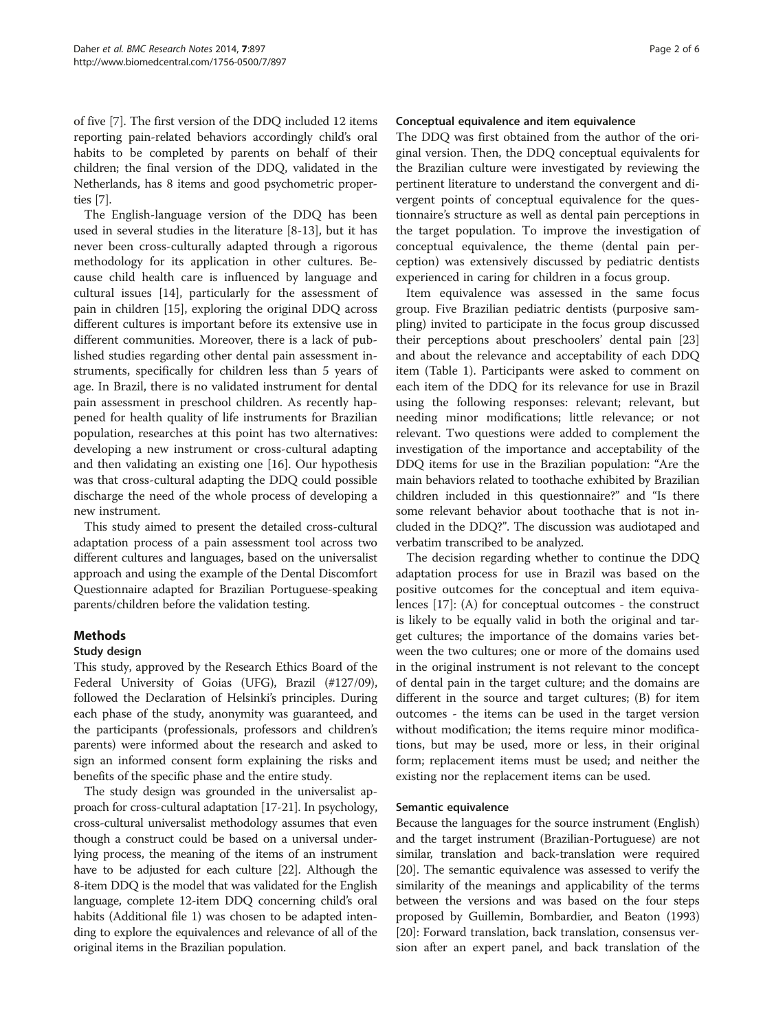of five [\[7](#page-5-0)]. The first version of the DDQ included 12 items reporting pain-related behaviors accordingly child's oral habits to be completed by parents on behalf of their children; the final version of the DDQ, validated in the Netherlands, has 8 items and good psychometric properties [\[7\]](#page-5-0).

The English-language version of the DDQ has been used in several studies in the literature [\[8-13](#page-5-0)], but it has never been cross-culturally adapted through a rigorous methodology for its application in other cultures. Because child health care is influenced by language and cultural issues [\[14](#page-5-0)], particularly for the assessment of pain in children [\[15\]](#page-5-0), exploring the original DDQ across different cultures is important before its extensive use in different communities. Moreover, there is a lack of published studies regarding other dental pain assessment instruments, specifically for children less than 5 years of age. In Brazil, there is no validated instrument for dental pain assessment in preschool children. As recently happened for health quality of life instruments for Brazilian population, researches at this point has two alternatives: developing a new instrument or cross-cultural adapting and then validating an existing one [[16\]](#page-5-0). Our hypothesis was that cross-cultural adapting the DDQ could possible discharge the need of the whole process of developing a new instrument.

This study aimed to present the detailed cross-cultural adaptation process of a pain assessment tool across two different cultures and languages, based on the universalist approach and using the example of the Dental Discomfort Questionnaire adapted for Brazilian Portuguese-speaking parents/children before the validation testing.

# Methods

# Study design

This study, approved by the Research Ethics Board of the Federal University of Goias (UFG), Brazil (#127/09), followed the Declaration of Helsinki's principles. During each phase of the study, anonymity was guaranteed, and the participants (professionals, professors and children's parents) were informed about the research and asked to sign an informed consent form explaining the risks and benefits of the specific phase and the entire study.

The study design was grounded in the universalist approach for cross-cultural adaptation [\[17](#page-5-0)-[21](#page-5-0)]. In psychology, cross-cultural universalist methodology assumes that even though a construct could be based on a universal underlying process, the meaning of the items of an instrument have to be adjusted for each culture [\[22](#page-5-0)]. Although the 8-item DDQ is the model that was validated for the English language, complete 12-item DDQ concerning child's oral habits (Additional file 1) was chosen to be adapted intending to explore the equivalences and relevance of all of the original items in the Brazilian population.

#### Conceptual equivalence and item equivalence

The DDQ was first obtained from the author of the original version. Then, the DDQ conceptual equivalents for the Brazilian culture were investigated by reviewing the pertinent literature to understand the convergent and divergent points of conceptual equivalence for the questionnaire's structure as well as dental pain perceptions in the target population. To improve the investigation of conceptual equivalence, the theme (dental pain perception) was extensively discussed by pediatric dentists experienced in caring for children in a focus group.

Item equivalence was assessed in the same focus group. Five Brazilian pediatric dentists (purposive sampling) invited to participate in the focus group discussed their perceptions about preschoolers' dental pain [[23](#page-5-0)] and about the relevance and acceptability of each DDQ item (Table [1](#page-2-0)). Participants were asked to comment on each item of the DDQ for its relevance for use in Brazil using the following responses: relevant; relevant, but needing minor modifications; little relevance; or not relevant. Two questions were added to complement the investigation of the importance and acceptability of the DDQ items for use in the Brazilian population: "Are the main behaviors related to toothache exhibited by Brazilian children included in this questionnaire?" and "Is there some relevant behavior about toothache that is not included in the DDQ?". The discussion was audiotaped and verbatim transcribed to be analyzed.

The decision regarding whether to continue the DDQ adaptation process for use in Brazil was based on the positive outcomes for the conceptual and item equivalences [\[17\]](#page-5-0): (A) for conceptual outcomes - the construct is likely to be equally valid in both the original and target cultures; the importance of the domains varies between the two cultures; one or more of the domains used in the original instrument is not relevant to the concept of dental pain in the target culture; and the domains are different in the source and target cultures; (B) for item outcomes - the items can be used in the target version without modification; the items require minor modifications, but may be used, more or less, in their original form; replacement items must be used; and neither the existing nor the replacement items can be used.

#### Semantic equivalence

Because the languages for the source instrument (English) and the target instrument (Brazilian-Portuguese) are not similar, translation and back-translation were required [[20](#page-5-0)]. The semantic equivalence was assessed to verify the similarity of the meanings and applicability of the terms between the versions and was based on the four steps proposed by Guillemin, Bombardier, and Beaton (1993) [[20](#page-5-0)]: Forward translation, back translation, consensus version after an expert panel, and back translation of the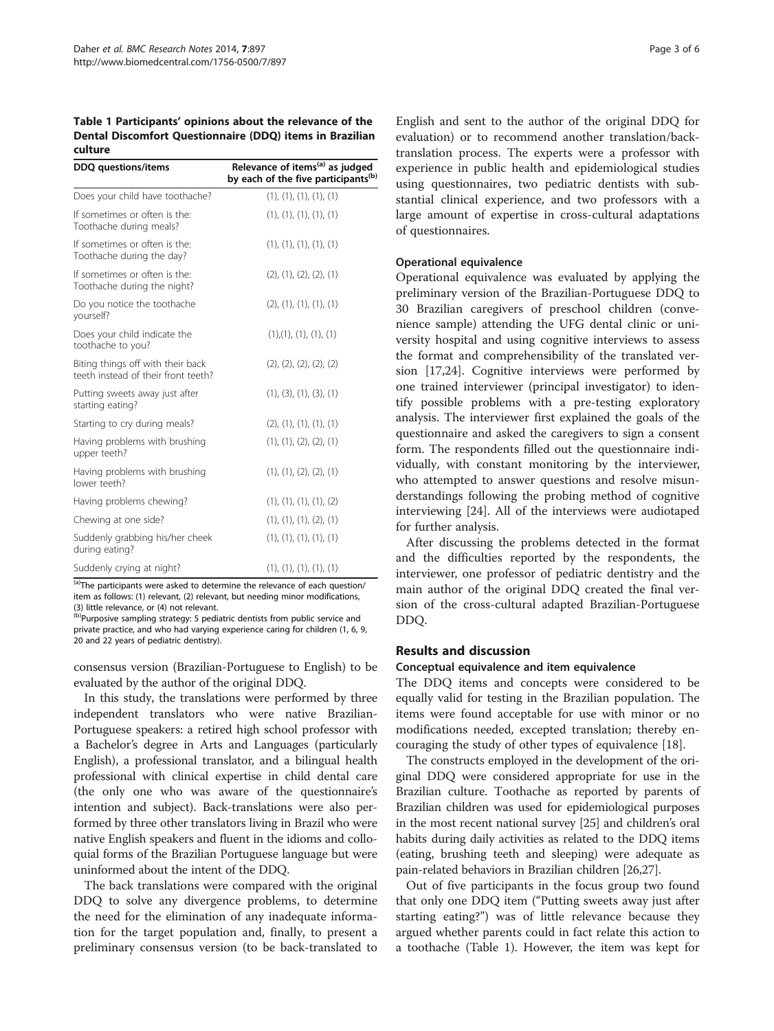<span id="page-2-0"></span>Table 1 Participants' opinions about the relevance of the Dental Discomfort Questionnaire (DDQ) items in Brazilian culture

| DDQ questions/items                                                      | Relevance of items <sup>(a)</sup> as judged<br>by each of the five participants <sup>(b)</sup> |
|--------------------------------------------------------------------------|------------------------------------------------------------------------------------------------|
| Does your child have toothache?                                          | (1), (1), (1), (1), (1)                                                                        |
| If sometimes or often is the:<br>Toothache during meals?                 | (1), (1), (1), (1), (1)                                                                        |
| If sometimes or often is the:<br>Toothache during the day?               | (1), (1), (1), (1), (1)                                                                        |
| If sometimes or often is the:<br>Toothache during the night?             | $(2)$ , $(1)$ , $(2)$ , $(2)$ , $(1)$                                                          |
| Do you notice the toothache<br>yourself?                                 | $(2)$ , $(1)$ , $(1)$ , $(1)$ , $(1)$                                                          |
| Does your child indicate the<br>toothache to you?                        | (1), (1), (1), (1), (1)                                                                        |
| Biting things off with their back<br>teeth instead of their front teeth? | (2), (2), (2), (2), (2)                                                                        |
| Putting sweets away just after<br>starting eating?                       | (1), (3), (1), (3), (1)                                                                        |
| Starting to cry during meals?                                            | $(2)$ , $(1)$ , $(1)$ , $(1)$ , $(1)$                                                          |
| Having problems with brushing<br>upper teeth?                            | (1), (1), (2), (2), (1)                                                                        |
| Having problems with brushing<br>lower teeth?                            | (1), (1), (2), (2), (1)                                                                        |
| Having problems chewing?                                                 | (1), (1), (1), (1), (2)                                                                        |
| Chewing at one side?                                                     | (1), (1), (1), (2), (1)                                                                        |
| Suddenly grabbing his/her cheek<br>during eating?                        | (1), (1), (1), (1), (1)                                                                        |
| Suddenly crying at night?                                                | (1), (1), (1), (1), (1)                                                                        |

(a)The participants were asked to determine the relevance of each question/ item as follows: (1) relevant, (2) relevant, but needing minor modifications, (3) little relevance, or (4) not relevant.

(b)Purposive sampling strategy: 5 pediatric dentists from public service and private practice, and who had varying experience caring for children (1, 6, 9, 20 and 22 years of pediatric dentistry).

consensus version (Brazilian-Portuguese to English) to be evaluated by the author of the original DDQ.

In this study, the translations were performed by three independent translators who were native Brazilian-Portuguese speakers: a retired high school professor with a Bachelor's degree in Arts and Languages (particularly English), a professional translator, and a bilingual health professional with clinical expertise in child dental care (the only one who was aware of the questionnaire's intention and subject). Back-translations were also performed by three other translators living in Brazil who were native English speakers and fluent in the idioms and colloquial forms of the Brazilian Portuguese language but were uninformed about the intent of the DDQ.

The back translations were compared with the original DDQ to solve any divergence problems, to determine the need for the elimination of any inadequate information for the target population and, finally, to present a preliminary consensus version (to be back-translated to

English and sent to the author of the original DDQ for evaluation) or to recommend another translation/backtranslation process. The experts were a professor with experience in public health and epidemiological studies using questionnaires, two pediatric dentists with substantial clinical experience, and two professors with a large amount of expertise in cross-cultural adaptations of questionnaires.

#### Operational equivalence

Operational equivalence was evaluated by applying the preliminary version of the Brazilian-Portuguese DDQ to 30 Brazilian caregivers of preschool children (convenience sample) attending the UFG dental clinic or university hospital and using cognitive interviews to assess the format and comprehensibility of the translated version [[17,24](#page-5-0)]. Cognitive interviews were performed by one trained interviewer (principal investigator) to identify possible problems with a pre-testing exploratory analysis. The interviewer first explained the goals of the questionnaire and asked the caregivers to sign a consent form. The respondents filled out the questionnaire individually, with constant monitoring by the interviewer, who attempted to answer questions and resolve misunderstandings following the probing method of cognitive interviewing [\[24\]](#page-5-0). All of the interviews were audiotaped for further analysis.

After discussing the problems detected in the format and the difficulties reported by the respondents, the interviewer, one professor of pediatric dentistry and the main author of the original DDQ created the final version of the cross-cultural adapted Brazilian-Portuguese DDQ.

# Results and discussion

#### Conceptual equivalence and item equivalence

The DDQ items and concepts were considered to be equally valid for testing in the Brazilian population. The items were found acceptable for use with minor or no modifications needed, excepted translation; thereby encouraging the study of other types of equivalence [[18](#page-5-0)].

The constructs employed in the development of the original DDQ were considered appropriate for use in the Brazilian culture. Toothache as reported by parents of Brazilian children was used for epidemiological purposes in the most recent national survey [\[25\]](#page-5-0) and children's oral habits during daily activities as related to the DDQ items (eating, brushing teeth and sleeping) were adequate as pain-related behaviors in Brazilian children [\[26,27\]](#page-5-0).

Out of five participants in the focus group two found that only one DDQ item ("Putting sweets away just after starting eating?") was of little relevance because they argued whether parents could in fact relate this action to a toothache (Table 1). However, the item was kept for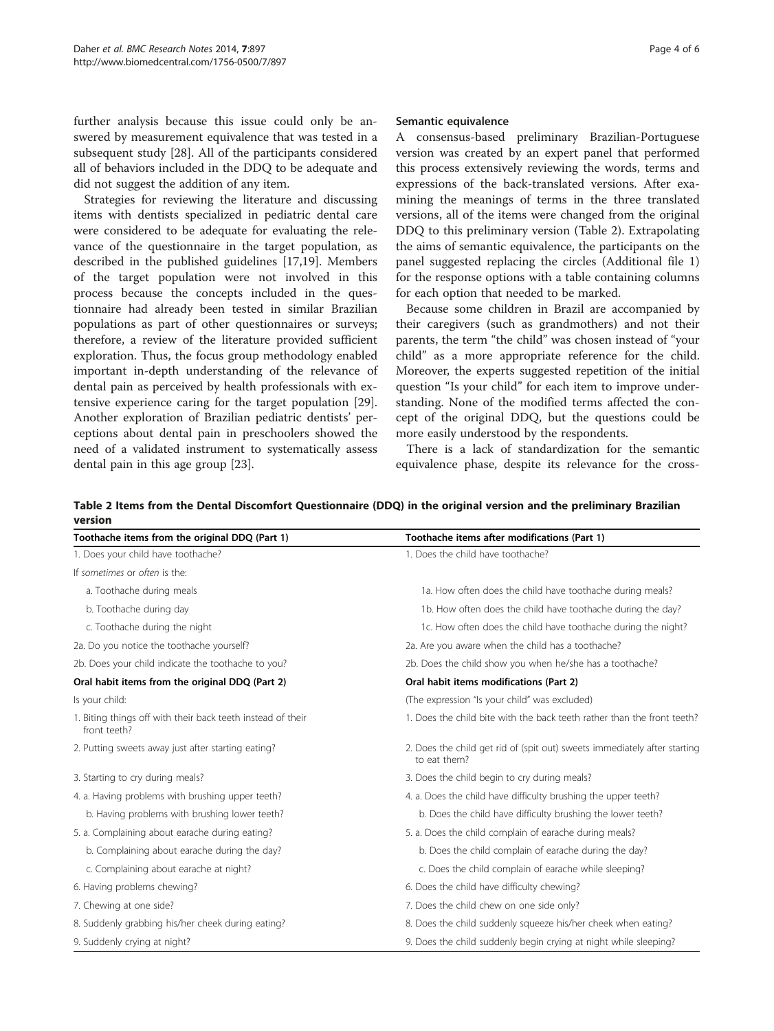further analysis because this issue could only be answered by measurement equivalence that was tested in a subsequent study [\[28\]](#page-5-0). All of the participants considered all of behaviors included in the DDQ to be adequate and did not suggest the addition of any item.

Strategies for reviewing the literature and discussing items with dentists specialized in pediatric dental care were considered to be adequate for evaluating the relevance of the questionnaire in the target population, as described in the published guidelines [[17](#page-5-0),[19](#page-5-0)]. Members of the target population were not involved in this process because the concepts included in the questionnaire had already been tested in similar Brazilian populations as part of other questionnaires or surveys; therefore, a review of the literature provided sufficient exploration. Thus, the focus group methodology enabled important in-depth understanding of the relevance of dental pain as perceived by health professionals with extensive experience caring for the target population [\[29](#page-5-0)]. Another exploration of Brazilian pediatric dentists' perceptions about dental pain in preschoolers showed the need of a validated instrument to systematically assess dental pain in this age group [[23](#page-5-0)].

#### Semantic equivalence

A consensus-based preliminary Brazilian-Portuguese version was created by an expert panel that performed this process extensively reviewing the words, terms and expressions of the back-translated versions. After examining the meanings of terms in the three translated versions, all of the items were changed from the original DDQ to this preliminary version (Table 2). Extrapolating the aims of semantic equivalence, the participants on the panel suggested replacing the circles (Additional file [1](#page-4-0)) for the response options with a table containing columns for each option that needed to be marked.

Because some children in Brazil are accompanied by their caregivers (such as grandmothers) and not their parents, the term "the child" was chosen instead of "your child" as a more appropriate reference for the child. Moreover, the experts suggested repetition of the initial question "Is your child" for each item to improve understanding. None of the modified terms affected the concept of the original DDQ, but the questions could be more easily understood by the respondents.

There is a lack of standardization for the semantic equivalence phase, despite its relevance for the cross-

|         | Table 2 Items from the Dental Discomfort Questionnaire (DDQ) in the original version and the preliminary Brazilian |  |  |
|---------|--------------------------------------------------------------------------------------------------------------------|--|--|
| version |                                                                                                                    |  |  |

| Toothache items from the original DDQ (Part 1)                              | Toothache items after modifications (Part 1)                                              |  |  |
|-----------------------------------------------------------------------------|-------------------------------------------------------------------------------------------|--|--|
| 1. Does your child have toothache?                                          | 1. Does the child have toothache?                                                         |  |  |
| If sometimes or often is the:                                               |                                                                                           |  |  |
| a. Toothache during meals                                                   | 1a. How often does the child have toothache during meals?                                 |  |  |
| b. Toothache during day                                                     | 1b. How often does the child have toothache during the day?                               |  |  |
| c. Toothache during the night                                               | 1c. How often does the child have toothache during the night?                             |  |  |
| 2a. Do you notice the toothache yourself?                                   | 2a. Are you aware when the child has a toothache?                                         |  |  |
| 2b. Does your child indicate the toothache to you?                          | 2b. Does the child show you when he/she has a toothache?                                  |  |  |
| Oral habit items from the original DDQ (Part 2)                             | Oral habit items modifications (Part 2)                                                   |  |  |
| Is your child:                                                              | (The expression "Is your child" was excluded)                                             |  |  |
| 1. Biting things off with their back teeth instead of their<br>front teeth? | 1. Does the child bite with the back teeth rather than the front teeth?                   |  |  |
| 2. Putting sweets away just after starting eating?                          | 2. Does the child get rid of (spit out) sweets immediately after starting<br>to eat them? |  |  |
| 3. Starting to cry during meals?                                            | 3. Does the child begin to cry during meals?                                              |  |  |
| 4. a. Having problems with brushing upper teeth?                            | 4. a. Does the child have difficulty brushing the upper teeth?                            |  |  |
| b. Having problems with brushing lower teeth?                               | b. Does the child have difficulty brushing the lower teeth?                               |  |  |
| 5. a. Complaining about earache during eating?                              | 5. a. Does the child complain of earache during meals?                                    |  |  |
| b. Complaining about earache during the day?                                | b. Does the child complain of earache during the day?                                     |  |  |
| c. Complaining about earache at night?                                      | c. Does the child complain of earache while sleeping?                                     |  |  |
| 6. Having problems chewing?                                                 | 6. Does the child have difficulty chewing?                                                |  |  |
| 7. Chewing at one side?                                                     | 7. Does the child chew on one side only?                                                  |  |  |
| 8. Suddenly grabbing his/her cheek during eating?                           | 8. Does the child suddenly squeeze his/her cheek when eating?                             |  |  |
| 9. Suddenly crying at night?                                                | 9. Does the child suddenly begin crying at night while sleeping?                          |  |  |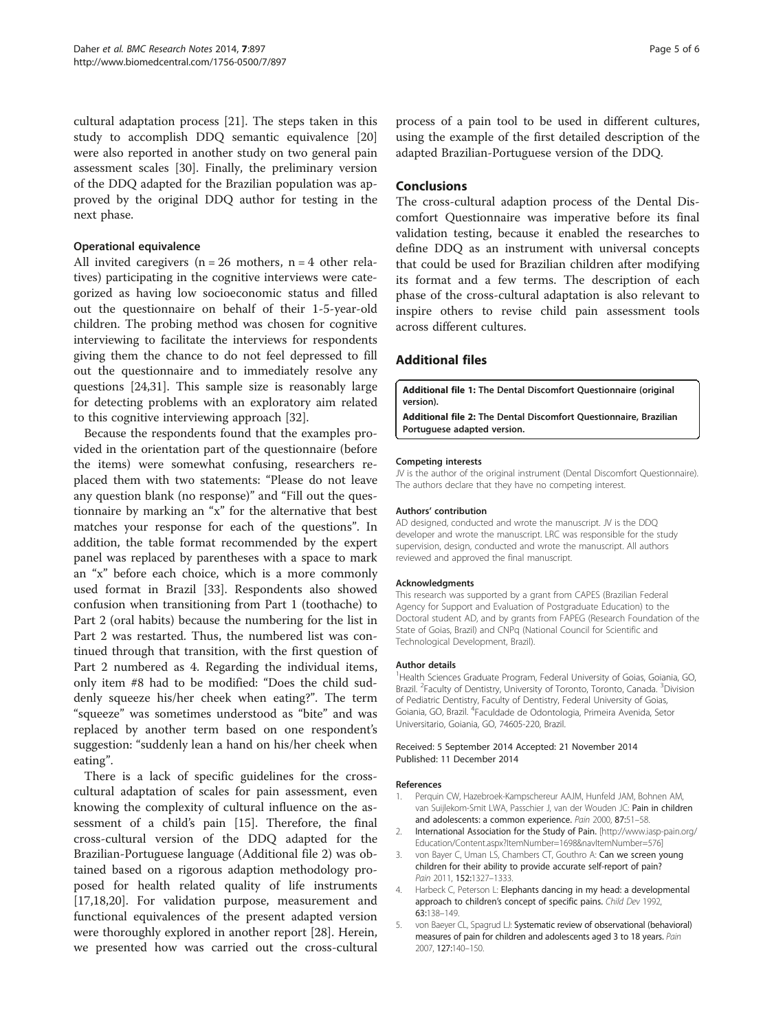<span id="page-4-0"></span>cultural adaptation process [[21](#page-5-0)]. The steps taken in this study to accomplish DDQ semantic equivalence [[20](#page-5-0)] were also reported in another study on two general pain assessment scales [[30\]](#page-5-0). Finally, the preliminary version of the DDQ adapted for the Brazilian population was approved by the original DDQ author for testing in the next phase.

#### Operational equivalence

All invited caregivers ( $n = 26$  mothers,  $n = 4$  other relatives) participating in the cognitive interviews were categorized as having low socioeconomic status and filled out the questionnaire on behalf of their 1-5-year-old children. The probing method was chosen for cognitive interviewing to facilitate the interviews for respondents giving them the chance to do not feel depressed to fill out the questionnaire and to immediately resolve any questions [\[24,31](#page-5-0)]. This sample size is reasonably large for detecting problems with an exploratory aim related to this cognitive interviewing approach [[32\]](#page-5-0).

Because the respondents found that the examples provided in the orientation part of the questionnaire (before the items) were somewhat confusing, researchers replaced them with two statements: "Please do not leave any question blank (no response)" and "Fill out the questionnaire by marking an "x" for the alternative that best matches your response for each of the questions". In addition, the table format recommended by the expert panel was replaced by parentheses with a space to mark an "x" before each choice, which is a more commonly used format in Brazil [[33\]](#page-5-0). Respondents also showed confusion when transitioning from Part 1 (toothache) to Part 2 (oral habits) because the numbering for the list in Part 2 was restarted. Thus, the numbered list was continued through that transition, with the first question of Part 2 numbered as 4. Regarding the individual items, only item #8 had to be modified: "Does the child suddenly squeeze his/her cheek when eating?". The term "squeeze" was sometimes understood as "bite" and was replaced by another term based on one respondent's suggestion: "suddenly lean a hand on his/her cheek when eating".

There is a lack of specific guidelines for the crosscultural adaptation of scales for pain assessment, even knowing the complexity of cultural influence on the assessment of a child's pain [\[15](#page-5-0)]. Therefore, the final cross-cultural version of the DDQ adapted for the Brazilian-Portuguese language (Additional file 2) was obtained based on a rigorous adaption methodology proposed for health related quality of life instruments [[17,18,20\]](#page-5-0). For validation purpose, measurement and functional equivalences of the present adapted version were thoroughly explored in another report [\[28\]](#page-5-0). Herein, we presented how was carried out the cross-cultural process of a pain tool to be used in different cultures, using the example of the first detailed description of the adapted Brazilian-Portuguese version of the DDQ.

# **Conclusions**

The cross-cultural adaption process of the Dental Discomfort Questionnaire was imperative before its final validation testing, because it enabled the researches to define DDQ as an instrument with universal concepts that could be used for Brazilian children after modifying its format and a few terms. The description of each phase of the cross-cultural adaptation is also relevant to inspire others to revise child pain assessment tools across different cultures.

# Additional files

[Additional file 1:](http://www.biomedcentral.com/content/supplementary/1756-0500-7-897-S1.pdf) The Dental Discomfort Questionnaire (original version).

[Additional file 2:](http://www.biomedcentral.com/content/supplementary/1756-0500-7-897-S2.pdf) The Dental Discomfort Questionnaire, Brazilian Portuguese adapted version.

#### Competing interests

JV is the author of the original instrument (Dental Discomfort Questionnaire). The authors declare that they have no competing interest.

#### Authors' contribution

AD designed, conducted and wrote the manuscript. JV is the DDQ developer and wrote the manuscript. LRC was responsible for the study supervision, design, conducted and wrote the manuscript. All authors reviewed and approved the final manuscript.

#### Acknowledgments

This research was supported by a grant from CAPES (Brazilian Federal Agency for Support and Evaluation of Postgraduate Education) to the Doctoral student AD, and by grants from FAPEG (Research Foundation of the State of Goias, Brazil) and CNPq (National Council for Scientific and Technological Development, Brazil).

#### Author details

<sup>1</sup>Health Sciences Graduate Program, Federal University of Goias, Goiania, GO Brazil. <sup>2</sup> Faculty of Dentistry, University of Toronto, Toronto, Canada. <sup>3</sup> Division of Pediatric Dentistry, Faculty of Dentistry, Federal University of Goias, Goiania, GO, Brazil. <sup>4</sup> Faculdade de Odontologia, Primeira Avenida, Setor Universitario, Goiania, GO, 74605-220, Brazil.

#### Received: 5 September 2014 Accepted: 21 November 2014 Published: 11 December 2014

#### References

- 1. Perquin CW, Hazebroek-Kampschereur AAJM, Hunfeld JAM, Bohnen AM, van Suijlekom-Smit LWA, Passchier J, van der Wouden JC: Pain in children and adolescents: a common experience. Pain 2000, 87:51–58.
- 2. International Association for the Study of Pain. [\[http://www.iasp-pain.org/](http://www.iasp-pain.org/Education/Content.aspx?ItemNumber=1698&navItemNumber=576) [Education/Content.aspx?ItemNumber=1698&navItemNumber=576\]](http://www.iasp-pain.org/Education/Content.aspx?ItemNumber=1698&navItemNumber=576)
- von Bayer C, Uman LS, Chambers CT, Gouthro A: Can we screen young children for their ability to provide accurate self-report of pain? Pain 2011, 152:1327-1333.
- 4. Harbeck C, Peterson L: Elephants dancing in my head: a developmental approach to children's concept of specific pains. Child Dev 1992, 63:138–149.
- 5. von Baeyer CL, Spagrud LJ: Systematic review of observational (behavioral) measures of pain for children and adolescents aged 3 to 18 years. Pain 2007, 127:140–150.